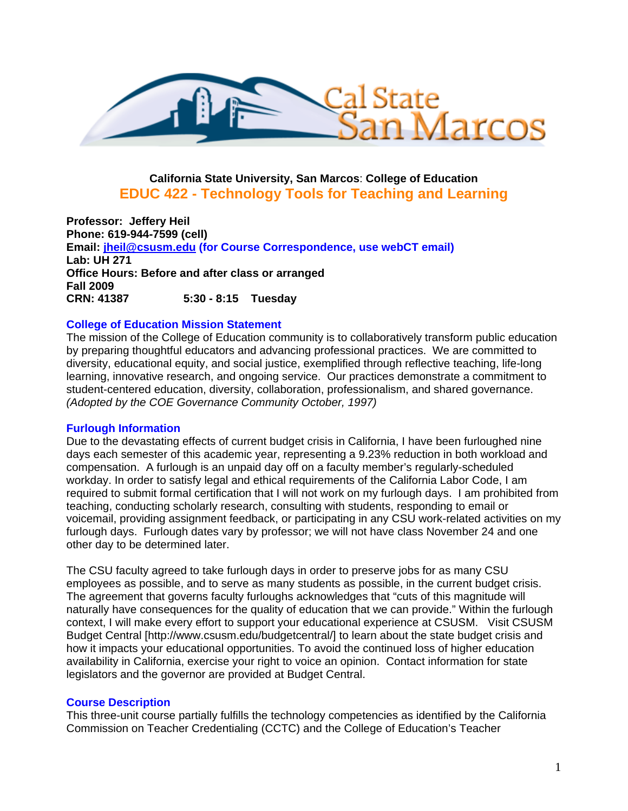

# **California State University, San Marcos**: **College of Education EDUC 422 - Technology Tools for Teaching and Learning**

CRN: 41387 **Professor: Jeffery Heil Phone: 619-944-7599 (cell) Email: jheil@csusm.edu (for Course Correspondence, use webCT email) Lab: UH 271 Office Hours: Before and after class or arranged Fall 2009 CRN: 41387 5:30 - 8:15 Tuesday** 

#### **College of Education Mission Statement**

The mission of the College of Education community is to collaboratively transform public education by preparing thoughtful educators and advancing professional practices. We are committed to diversity, educational equity, and social justice, exemplified through reflective teaching, life-long learning, innovative research, and ongoing service. Our practices demonstrate a commitment to student-centered education, diversity, collaboration, professionalism, and shared governance. *(Adopted by the COE Governance Community October, 1997)* 

#### **Furlough Information**

Due to the devastating effects of current budget crisis in California, I have been furloughed nine days each semester of this academic year, representing a 9.23% reduction in both workload and compensation. A furlough is an unpaid day off on a faculty member's regularly-scheduled workday. In order to satisfy legal and ethical requirements of the California Labor Code, I am required to submit formal certification that I will not work on my furlough days. I am prohibited from teaching, conducting scholarly research, consulting with students, responding to email or voicemail, providing assignment feedback, or participating in any CSU work-related activities on my furlough days. Furlough dates vary by professor; we will not have class November 24 and one other day to be determined later.

The CSU faculty agreed to take furlough days in order to preserve jobs for as many CSU employees as possible, and to serve as many students as possible, in the current budget crisis. The agreement that governs faculty furloughs acknowledges that "cuts of this magnitude will naturally have consequences for the quality of education that we can provide." Within the furlough context, I will make every effort to support your educational experience at CSUSM. Visit CSUSM Budget Central [http://www.csusm.edu/budgetcentral/] to learn about the state budget crisis and how it impacts your educational opportunities. To avoid the continued loss of higher education availability in California, exercise your right to voice an opinion. Contact information for state legislators and the governor are provided at Budget Central.

#### **Course Description**

This three-unit course partially fulfills the technology competencies as identified by the California Commission on Teacher Credentialing (CCTC) and the College of Education's Teacher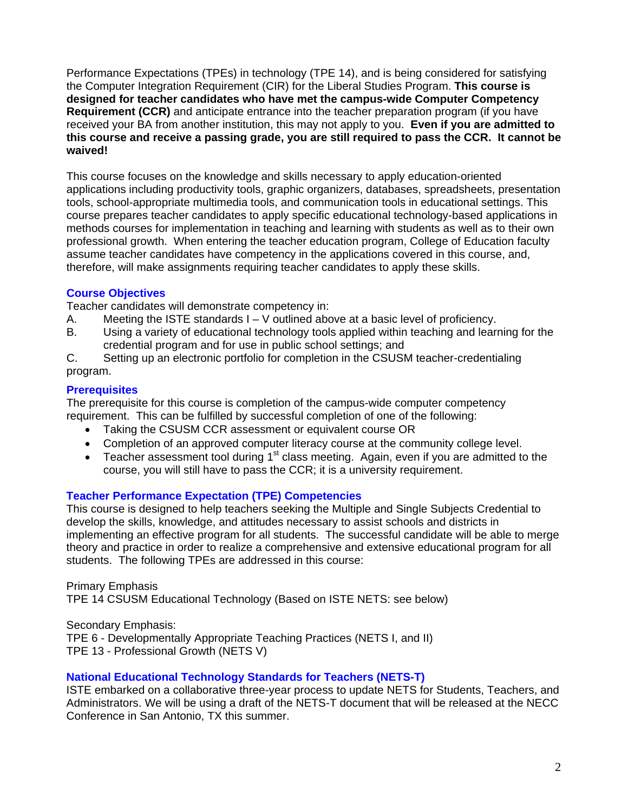Performance Expectations (TPEs) in technology (TPE 14), and is being considered for satisfying the Computer Integration Requirement (CIR) for the Liberal Studies Program. **This course is designed for teacher candidates who have met the campus-wide Computer Competency Requirement (CCR)** and anticipate entrance into the teacher preparation program (if you have received your BA from another institution, this may not apply to you. **Even if you are admitted to this course and receive a passing grade, you are still required to pass the CCR. It cannot be waived!** 

This course focuses on the knowledge and skills necessary to apply education-oriented applications including productivity tools, graphic organizers, databases, spreadsheets, presentation tools, school-appropriate multimedia tools, and communication tools in educational settings. This course prepares teacher candidates to apply specific educational technology-based applications in methods courses for implementation in teaching and learning with students as well as to their own professional growth. When entering the teacher education program, College of Education faculty assume teacher candidates have competency in the applications covered in this course, and, therefore, will make assignments requiring teacher candidates to apply these skills.

#### **Course Objectives**

Teacher candidates will demonstrate competency in:

- A. Meeting the ISTE standards  $I V$  outlined above at a basic level of proficiency.
- B. Using a variety of educational technology tools applied within teaching and learning for the credential program and for use in public school settings; and
- C. Setting up an electronic portfolio for completion in the CSUSM teacher-credentialing program.

#### **Prerequisites**

The prerequisite for this course is completion of the campus-wide computer competency requirement. This can be fulfilled by successful completion of one of the following:

- Taking the CSUSM CCR assessment or equivalent course OR
- Completion of an approved computer literacy course at the community college level.
- Teacher assessment tool during  $1<sup>st</sup>$  class meeting. Again, even if you are admitted to the course, you will still have to pass the CCR; it is a university requirement.

#### **Teacher Performance Expectation (TPE) Competencies**

This course is designed to help teachers seeking the Multiple and Single Subjects Credential to develop the skills, knowledge, and attitudes necessary to assist schools and districts in implementing an effective program for all students. The successful candidate will be able to merge theory and practice in order to realize a comprehensive and extensive educational program for all students. The following TPEs are addressed in this course:

Primary Emphasis TPE 14 CSUSM Educational Technology (Based on ISTE NETS: see below)

Secondary Emphasis: TPE 6 - Developmentally Appropriate Teaching Practices (NETS I, and II) TPE 13 - Professional Growth (NETS V)

#### **National Educational Technology Standards for Teachers (NETS-T)**

ISTE embarked on a collaborative three-year process to update NETS for Students, Teachers, and Administrators. We will be using a draft of the NETS-T document that will be released at the NECC Conference in San Antonio, TX this summer.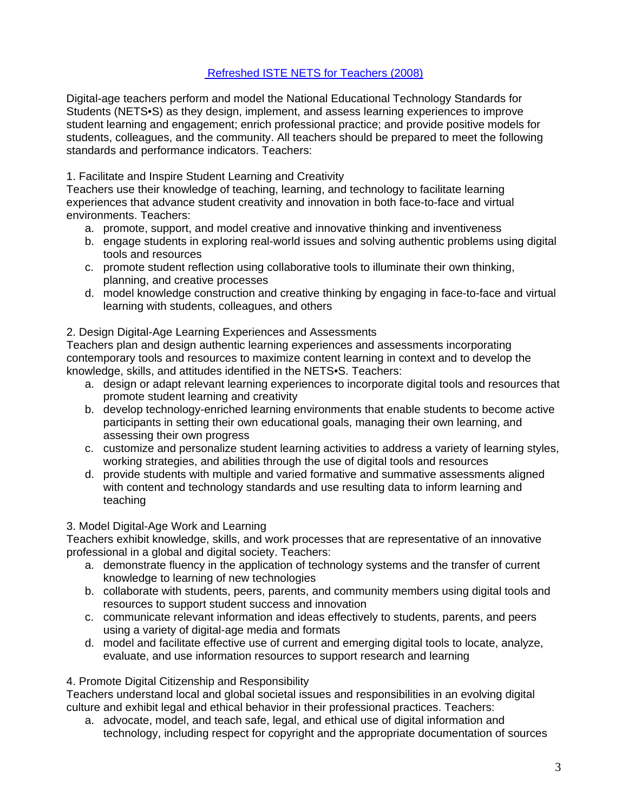# Refreshed ISTE NETS for Teachers (2008)

Digital-age teachers perform and model the National Educational Technology Standards for Students (NETS•S) as they design, implement, and assess learning experiences to improve student learning and engagement; enrich professional practice; and provide positive models for students, colleagues, and the community. All teachers should be prepared to meet the following standards and performance indicators. Teachers:

# 1. Facilitate and Inspire Student Learning and Creativity

environments. Teachers: Teachers use their knowledge of teaching, learning, and technology to facilitate learning experiences that advance student creativity and innovation in both face-to-face and virtual

- a. promote, support, and model creative and innovative thinking and inventiveness
- b. engage students in exploring real-world issues and solving authentic problems using digital tools and resources
- c. promote student reflection using collaborative tools to illuminate their own thinking, planning, and creative processes
- d. model knowledge construction and creative thinking by engaging in face-to-face and virtual learning with students, colleagues, and others

# 2. Design Digital-Age Learning Experiences and Assessments

Teachers plan and design authentic learning experiences and assessments incorporating contemporary tools and resources to maximize content learning in context and to develop the knowledge, skills, and attitudes identified in the NETS•S. Teachers:

- a. design or adapt relevant learning experiences to incorporate digital tools and resources that promote student learning and creativity
- b. develop technology-enriched learning environments that enable students to become active participants in setting their own educational goals, managing their own learning, and assessing their own progress
- c. customize and personalize student learning activities to address a variety of learning styles, working strategies, and abilities through the use of digital tools and resources
- d. provide students with multiple and varied formative and summative assessments aligned with content and technology standards and use resulting data to inform learning and teaching

# 3. Model Digital-Age Work and Learning

Teachers exhibit knowledge, skills, and work processes that are representative of an innovative professional in a global and digital society. Teachers:

- a. demonstrate fluency in the application of technology systems and the transfer of current knowledge to learning of new technologies
- b. collaborate with students, peers, parents, and community members using digital tools and resources to support student success and innovation
- c. communicate relevant information and ideas effectively to students, parents, and peers using a variety of digital-age media and formats
- evaluate, and use information resources to support research and learning 4. Promote Digital Citizenship and Responsibility d. model and facilitate effective use of current and emerging digital tools to locate, analyze,

Teachers understand local and global societal issues and responsibilities in an evolving digital culture and exhibit legal and ethical behavior in their professional practices. Teachers:

a. advocate, model, and teach safe, legal, and ethical use of digital information and technology, including respect for copyright and the appropriate documentation of sources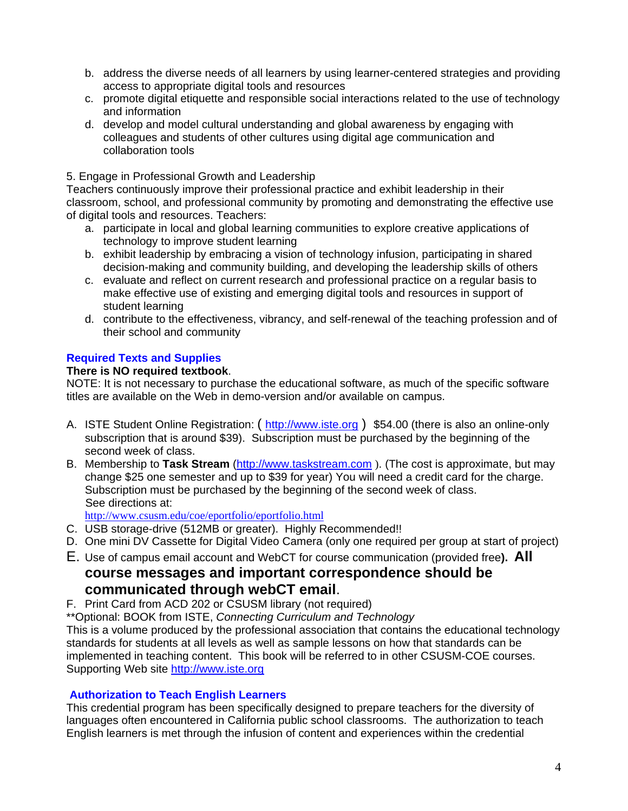- b. address the diverse needs of all learners by using learner-centered strategies and providing access to appropriate digital tools and resources
- c. promote digital etiquette and responsible social interactions related to the use of technology and information
- d. develop and model cultural understanding and global awareness by engaging with colleagues and students of other cultures using digital age communication and collaboration tools

#### 5. Engage in Professional Growth and Leadership

Teachers continuously improve their professional practice and exhibit leadership in their classroom, school, and professional community by promoting and demonstrating the effective use of digital tools and resources. Teachers:

- a. participate in local and global learning communities to explore creative applications of technology to improve student learning
- b. exhibit leadership by embracing a vision of technology infusion, participating in shared decision-making and community building, and developing the leadership skills of others
- c. evaluate and reflect on current research and professional practice on a regular basis to make effective use of existing and emerging digital tools and resources in support of student learning
- d. contribute to the effectiveness, vibrancy, and self-renewal of the teaching profession and of their school and community

# **Required Texts and Supplies**

# **There is NO required textbook**.

NOTE: It is not necessary to purchase the educational software, as much of the specific software titles are available on the Web in demo-version and/or available on campus.

- A. ISTE Student Online Registration: (http://www.iste.org) \$54.00 (there is also an online-only subscription that is around \$39). Subscription must be purchased by the beginning of the second week of class.
- B. Membership to **Task Stream** (http://www.taskstream.com ). (The cost is approximate, but may change \$25 one semester and up to \$39 for year) You will need a credit card for the charge. Subscription must be purchased by the beginning of the second week of class. See directions at:

http://www.csusm.edu/coe/eportfolio/eportfolio.html

- C. USB storage-drive (512MB or greater). Highly Recommended!!
- D. One mini DV Cassette for Digital Video Camera (only one required per group at start of project)
- E. Use of campus email account and WebCT for course communication (provided free**). All**

# **course messages and important correspondence should be communicated through webCT email.**<br>F. Print Card from ACD 202 or CSUSM library (not required)

\*\*Optional: BOOK from ISTE, *Connecting Curriculum and Technology* 

This is a volume produced by the professional association that contains the educational technology standards for students at all levels as well as sample lessons on how that standards can be implemented in teaching content. This book will be referred to in other CSUSM-COE courses. Supporting Web site http://www.iste.org

#### **Authorization to Teach English Learners**

This credential program has been specifically designed to prepare teachers for the diversity of languages often encountered in California public school classrooms. The authorization to teach English learners is met through the infusion of content and experiences within the credential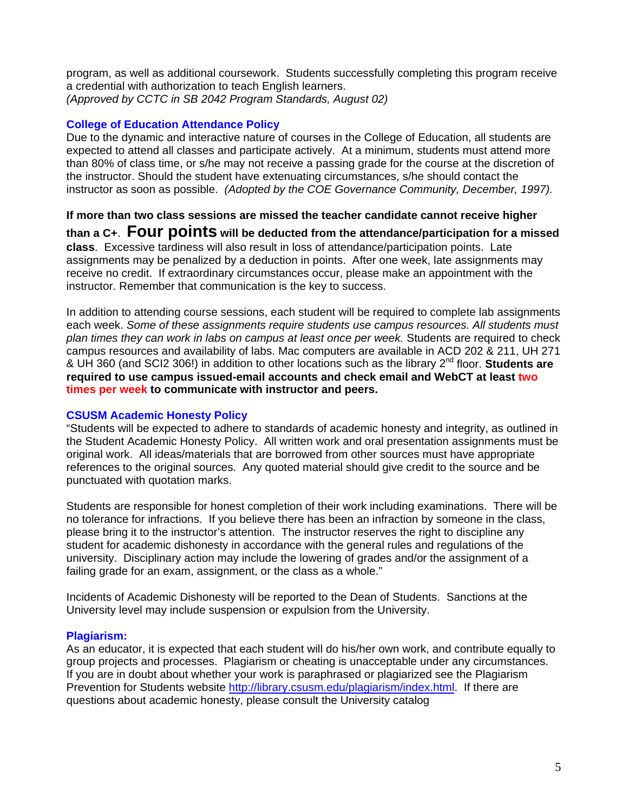*(Approved by CCTC in SB 2042 Program Standards, August 02)* program, as well as additional coursework. Students successfully completing this program receive a credential with authorization to teach English learners.

#### **College of Education Attendance Policy**

 instructor as soon as possible. *(Adopted by the COE Governance Community, December, 1997).* Due to the dynamic and interactive nature of courses in the College of Education, all students are expected to attend all classes and participate actively. At a minimum, students must attend more than 80% of class time, or s/he may not receive a passing grade for the course at the discretion of the instructor. Should the student have extenuating circumstances, s/he should contact the

**If more than two class sessions are missed the teacher candidate cannot receive higher than a C+**. **Four points will be deducted from the attendance/participation for a missed class**. Excessive tardiness will also result in loss of attendance/participation points. Late assignments may be penalized by a deduction in points. After one week, late assignments may receive no credit. If extraordinary circumstances occur, please make an appointment with the instructor. Remember that communication is the key to success.

In addition to attending course sessions, each student will be required to complete lab assignments each week. *Some of these assignments require students use campus resources. All students must plan times they can work in labs on campus at least once per week.* Students are required to check campus resources and availability of labs. Mac computers are available in ACD 202 & 211, UH 271 & UH 360 (and SCI2 306!) in addition to other locations such as the library 2nd floor. **Students are required to use campus issued-email accounts and check email and WebCT at least two times per week to communicate with instructor and peers.** 

#### **CSUSM Academic Honesty Policy**

"Students will be expected to adhere to standards of academic honesty and integrity, as outlined in the Student Academic Honesty Policy. All written work and oral presentation assignments must be original work. All ideas/materials that are borrowed from other sources must have appropriate references to the original sources. Any quoted material should give credit to the source and be punctuated with quotation marks.

Students are responsible for honest completion of their work including examinations. There will be no tolerance for infractions. If you believe there has been an infraction by someone in the class, please bring it to the instructor's attention. The instructor reserves the right to discipline any student for academic dishonesty in accordance with the general rules and regulations of the university. Disciplinary action may include the lowering of grades and/or the assignment of a failing grade for an exam, assignment, or the class as a whole."

Incidents of Academic Dishonesty will be reported to the Dean of Students. Sanctions at the University level may include suspension or expulsion from the University.

# **Plagiarism:**

As an educator, it is expected that each student will do his/her own work, and contribute equally to group projects and processes. Plagiarism or cheating is unacceptable under any circumstances. If you are in doubt about whether your work is paraphrased or plagiarized see the Plagiarism Prevention for Students website http://library.csusm.edu/plagiarism/index.html. If there are questions about academic honesty, please consult the University catalog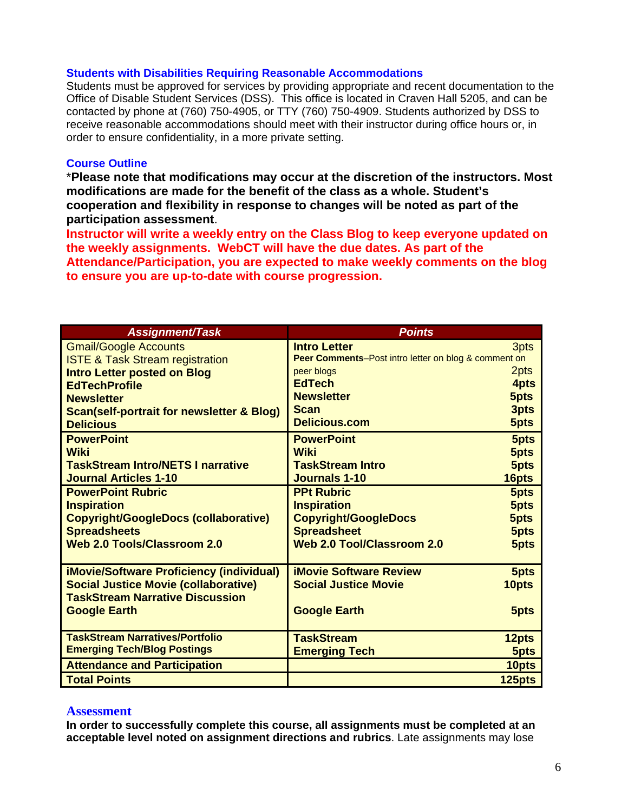#### **Students with Disabilities Requiring Reasonable Accommodations**

Students must be approved for services by providing appropriate and recent documentation to the Office of Disable Student Services (DSS). This office is located in Craven Hall 5205, and can be contacted by phone at (760) 750-4905, or TTY (760) 750-4909. Students authorized by DSS to receive reasonable accommodations should meet with their instructor during office hours or, in order to ensure confidentiality, in a more private setting.

#### **Course Outline**

\***Please note that modifications may occur at the discretion of the instructors. Most modifications are made for the benefit of the class as a whole. Student's cooperation and flexibility in response to changes will be noted as part of the participation assessment**.

**Instructor will write a weekly entry on the Class Blog to keep everyone updated on the weekly assignments. WebCT will have the due dates. As part of the Attendance/Participation, you are expected to make weekly comments on the blog to ensure you are up-to-date with course progression.** 

| <b>Assignment/Task</b>                               | <b>Points</b>                                        |        |
|------------------------------------------------------|------------------------------------------------------|--------|
| <b>Gmail/Google Accounts</b>                         | <b>Intro Letter</b>                                  | 3pts   |
| <b>ISTE &amp; Task Stream registration</b>           | Peer Comments-Post intro letter on blog & comment on |        |
| <b>Intro Letter posted on Blog</b>                   | peer blogs                                           | 2pts   |
| <b>EdTechProfile</b>                                 | <b>EdTech</b>                                        | 4pts   |
| <b>Newsletter</b>                                    | <b>Newsletter</b>                                    | 5pts   |
| <b>Scan(self-portrait for newsletter &amp; Blog)</b> | <b>Scan</b>                                          | 3pts   |
| <b>Delicious</b>                                     | <b>Delicious.com</b>                                 | 5pts   |
| <b>PowerPoint</b>                                    | <b>PowerPoint</b>                                    | 5pts   |
| <b>Wiki</b>                                          | <b>Wiki</b>                                          | 5pts   |
| <b>TaskStream Intro/NETS I narrative</b>             | <b>TaskStream Intro</b>                              | 5pts   |
| <b>Journal Articles 1-10</b>                         | <b>Journals 1-10</b>                                 | 16pts  |
| <b>PowerPoint Rubric</b>                             | <b>PPt Rubric</b>                                    | 5pts   |
| <b>Inspiration</b>                                   | <b>Inspiration</b>                                   | 5pts   |
| <b>Copyright/GoogleDocs (collaborative)</b>          | <b>Copyright/GoogleDocs</b>                          | 5pts   |
| <b>Spreadsheets</b>                                  | <b>Spreadsheet</b>                                   | 5pts   |
| <b>Web 2.0 Tools/Classroom 2.0</b>                   | <b>Web 2.0 Tool/Classroom 2.0</b>                    | 5pts   |
|                                                      |                                                      |        |
| <b>iMovie/Software Proficiency (individual)</b>      | <b>iMovie Software Review</b>                        | 5pts   |
| <b>Social Justice Movie (collaborative)</b>          | <b>Social Justice Movie</b>                          | 10pts  |
| <b>TaskStream Narrative Discussion</b>               |                                                      |        |
| <b>Google Earth</b>                                  | <b>Google Earth</b>                                  | 5pts   |
|                                                      |                                                      |        |
| <b>TaskStream Narratives/Portfolio</b>               | <b>TaskStream</b>                                    | 12pts  |
| <b>Emerging Tech/Blog Postings</b>                   | <b>Emerging Tech</b>                                 | 5pts   |
| <b>Attendance and Participation</b>                  |                                                      | 10pts  |
| <b>Total Points</b>                                  |                                                      | 125pts |

#### **Assessment**

**In order to successfully complete this course, all assignments must be completed at an acceptable level noted on assignment directions and rubrics**. Late assignments may lose